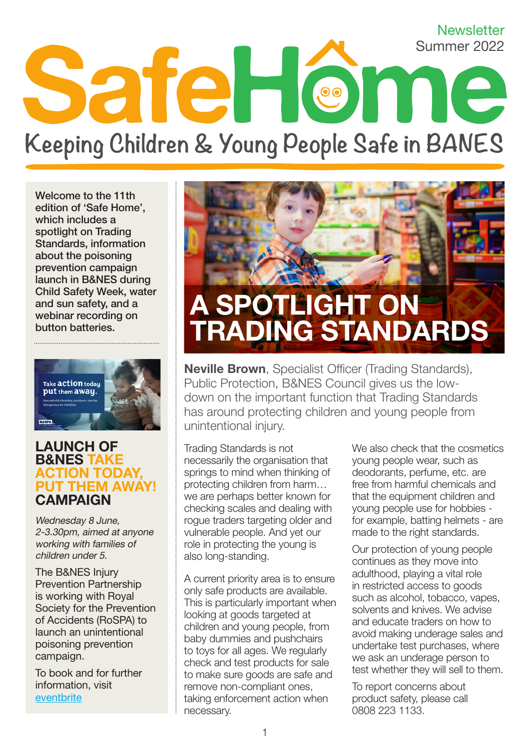# **Newsletter** Summer 2022 SafeHome **Keeping Children & Young People Safe in BANES**

Welcome to the 11th edition of 'Safe Home', which includes a spotlight on Trading Standards, information about the poisoning prevention campaign launch in B&NES during Child Safety Week, water and sun safety, and a webinar recording on button batteries.



#### LAUNCH OF B&NES TAKE ACTION TODAY, PUT THEM AWAY! **CAMPAIGN**

Wednesday 8 June, 2-3.30pm, aimed at anyone working with families of children under 5.

The B&NES Injury Prevention Partnership is working with Royal Society for the Prevention of Accidents (RoSPA) to launch an unintentional poisoning prevention campaign.

To book and for further information, visit [eventbrite](http://www.eventbrite.co.uk/e/328929566187)



**Neville Brown**, Specialist Officer (Trading Standards), Public Protection, B&NES Council gives us the lowdown on the important function that Trading Standards has around protecting children and young people from unintentional injury.

Trading Standards is not necessarily the organisation that springs to mind when thinking of protecting children from harm… we are perhaps better known for checking scales and dealing with rogue traders targeting older and vulnerable people. And yet our role in protecting the young is also long-standing.

A current priority area is to ensure only safe products are available. This is particularly important when looking at goods targeted at children and young people, from baby dummies and pushchairs to toys for all ages. We regularly check and test products for sale to make sure goods are safe and remove non-compliant ones, taking enforcement action when necessary.

We also check that the cosmetics young people wear, such as deodorants, perfume, etc. are free from harmful chemicals and that the equipment children and young people use for hobbies for example, batting helmets - are made to the right standards.

Our protection of young people continues as they move into adulthood, playing a vital role in restricted access to goods such as alcohol, tobacco, vapes, solvents and knives. We advise and educate traders on how to avoid making underage sales and undertake test purchases, where we ask an underage person to test whether they will sell to them.

To report concerns about product safety, please call 0808 223 1133.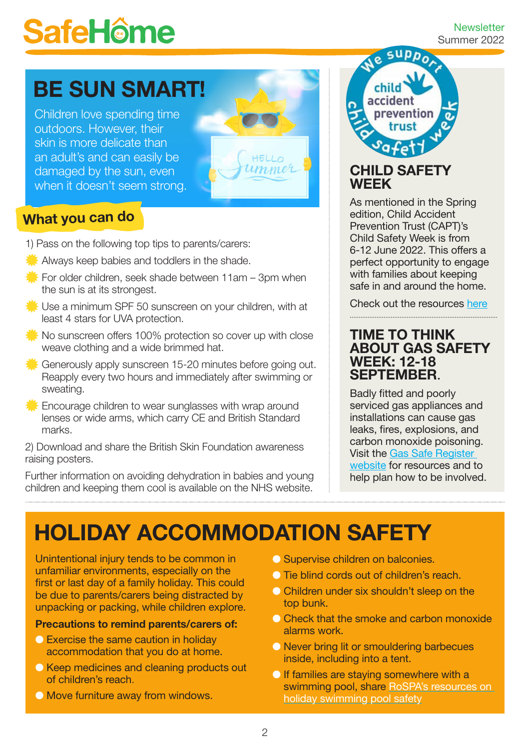# **SafeHôme**

#### **Newsletter** Summer 2022

# BE SUN SMART!

Children love spending time outdoors. However, their skin is more delicate than an adult's and can easily be damaged by the sun, even when it doesn't seem strong.



## What you can do

- 1) Pass on the following top tips to parents/carers:
- Always keep babies and toddlers in the shade.
- For older children, seek shade between  $11$ am 3pm when the sun is at its strongest.
- Use a minimum SPF 50 sunscreen on your children, with at least 4 stars for UVA protection.
- No sunscreen offers 100% protection so cover up with close weave clothing and a wide brimmed hat.
- Generously apply sunscreen 15-20 minutes before going out. Reapply every two hours and immediately after swimming or sweating.
- $\mathbb K$  Encourage children to wear sunglasses with wrap around lenses or wide arms, which carry CE and British Standard marks.

2) Download and share the British Skin Foundation awareness raising posters.

Further information on avoiding dehydration in babies and young children and keeping them cool is available on the NHS website.

**SUPPO** accident prevention

## CHILD SAFETY WEEK

As mentioned in the Spring edition, Child Accident Prevention Trust (CAPT)'s Child Safety Week is from 6-12 June 2022. This offers a perfect opportunity to engage with families about keeping safe in and around the home.

Check out the resources [here](https://www.capt.org.uk/csw-sign-up)

### TIME TO THINK ABOUT GAS SAFETY WEEK: 12-18 SEPTEMBER.

Badly fitted and poorly serviced gas appliances and installations can cause gas leaks, fires, explosions, and carbon monoxide poisoning. Visit the [Gas Safe Register](https://www.gassaferegister.co.uk/gas-safety/gas-safety-week/)  [website](https://www.gassaferegister.co.uk/gas-safety/gas-safety-week/) for resources and to help plan how to be involved.

# HOLIDAY ACCOMMODATION SAFETY

Unintentional injury tends to be common in unfamiliar environments, especially on the first or last day of a family holiday. This could be due to parents/carers being distracted by unpacking or packing, while children explore.

#### Precautions to remind parents/carers of:

- **Exercise the same caution in holiday** accommodation that you do at home.
- **C** Keep medicines and cleaning products out of children's reach.
- **O** Move furniture away from windows.
- **O** Supervise children on balconies.
- **In Tie blind cords out of children's reach.**
- **O** Children under six shouldn't sleep on the top bunk.
- **Check that the smoke and carbon monoxide** alarms work.
- **O** Never bring lit or smouldering barbecues inside, including into a tent.
- **If families are staying somewhere with a** swimming pool, share [RoSPA's resources on](http://www.rospa.com/leisure-water-safety/water/advice/holiday-swimming-pool)  [holiday swimming pool safety](http://www.rospa.com/leisure-water-safety/water/advice/holiday-swimming-pool)